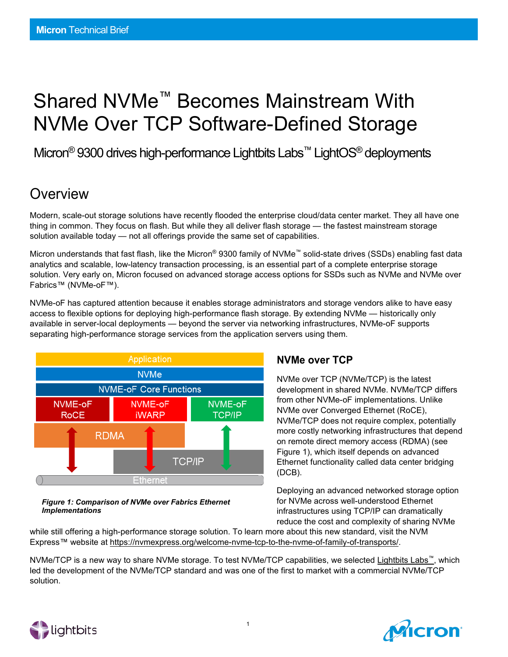# Shared NVMe™ Becomes Mainstream With NVMe Over TCP Software-Defined Storage

Micron<sup>®</sup> 9300 drives high-performance Lightbits Labs<sup>™</sup> LightOS<sup>®</sup> deployments

## **Overview**

Modern, scale-out storage solutions have recently flooded the enterprise cloud/data center market. They all have one thing in common. They focus on flash. But while they all deliver flash storage — the fastest mainstream storage solution available today — not all offerings provide the same set of capabilities.

Micron understands that fast flash, like the Micron® 9300 family of NVMe™ solid-state drives (SSDs) enabling fast data analytics and scalable, low-latency transaction processing, is an essential part of a complete enterprise storage solution. Very early on, Micron focused on advanced storage access options for SSDs such as NVMe and NVMe over Fabrics™ (NVMe-oF™).

NVMe-oF has captured attention because it enables storage administrators and storage vendors alike to have easy access to flexible options for deploying high-performance flash storage. By extending NVMe — historically only available in server-local deployments — beyond the server via networking infrastructures, NVMe-oF supports separating high-performance storage services from the application servers using them.



#### *Figure 1: Comparison of NVMe over Fabrics Ethernet Implementations*

### **NVMe over TCP**

NVMe over TCP (NVMe/TCP) is the latest development in shared NVMe. NVMe/TCP differs from other NVMe-oF implementations. Unlike NVMe over Converged Ethernet (RoCE), NVMe/TCP does not require complex, potentially more costly networking infrastructures that depend on remote direct memory access (RDMA) (see Figure 1), which itself depends on advanced Ethernet functionality called data center bridging (DCB).

Deploying an advanced networked storage option for NVMe across well-understood Ethernet infrastructures using TCP/IP can dramatically reduce the cost and complexity of sharing NVMe

while still offering a high-performance storage solution. To learn more about this new standard, visit the NVM Express™ website at [https://nvmexpress.org/welcome-nvme-tcp-to-the-nvme-of-family-of-transports/.](https://nvmexpress.org/welcome-nvme-tcp-to-the-nvme-of-family-of-transports/)

NVMe/TCP is a new way to share NVMe storage. To test NVMe/TCP capabilities, we selected [Lightbits Labs™,](http://www.lightbitslabs.com/) which led the development of the NVMe/TCP standard and was one of the first to market with a commercial NVMe/TCP solution.



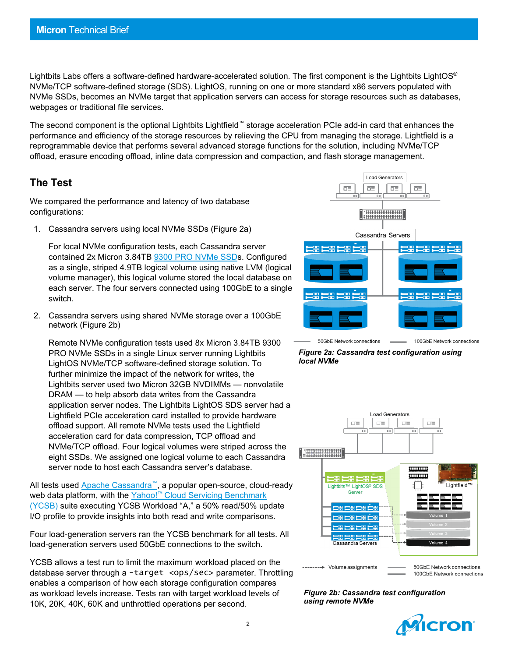Lightbits Labs offers a software-defined hardware-accelerated solution. The first component is the Lightbits LightOS<sup>®</sup> NVMe/TCP software-defined storage (SDS). LightOS, running on one or more standard x86 servers populated with NVMe SSDs, becomes an NVMe target that application servers can access for storage resources such as databases, webpages or traditional file services.

The second component is the optional Lightbits Lightfield™ storage acceleration PCIe add-in card that enhances the performance and efficiency of the storage resources by relieving the CPU from managing the storage. Lightfield is a reprogrammable device that performs several advanced storage functions for the solution, including NVMe/TCP offload, erasure encoding offload, inline data compression and compaction, and flash storage management.

#### **The Test**

We compared the performance and latency of two database configurations:

1. Cassandra servers using local NVMe SSDs (Figure 2a)

For local NVMe configuration tests, each Cassandra server contained 2x [Micron 3.84TB 9300 PRO NVMe SSDs.](https://www.micron.com/products/solid-state-drives/product-lines/9300) Configured as a single, striped 4.9TB logical volume using native LVM (logical volume manager), this logical volume stored the local database on each server. The four servers connected using 100GbE to a single switch.

2. Cassandra servers using shared NVMe storage over a 100GbE network (Figure 2b)

Remote NVMe configuration tests used 8x Micron 3.84TB 9300 PRO NVMe SSDs in a single Linux server running Lightbits LightOS NVMe/TCP software-defined storage solution. To further minimize the impact of the network for writes, the Lightbits server used two [Micron 32GB NVDIMMs](https://www.micron.com/products/dram-modules/nvdimm) — nonvolatile DRAM — to help absorb data writes from the Cassandra application server nodes. The Lightbits LightOS SDS server had a Lightfield PCIe acceleration card installed to provide hardware offload support. All remote NVMe tests used the Lightfield acceleration card for data compression, TCP offload and NVMe/TCP offload. Four logical volumes were striped across the eight SSDs. We assigned one logical volume to each Cassandra server node to host each Cassandra server's database.

All tests used [Apache Cassandra™](http://cassandra.apache.org/), a popular open-source, cloud-ready web data platform, with the Yahoo!<sup>™</sup> [Cloud Servicing Benchmark](https://github.com/brianfrankcooper/YCSB/wiki) (YCSB) suite executing YCSB Workload "A," a 50% read/50% update I/O profile to provide insights into both read and write comparisons.

Four load-generation servers ran the YCSB benchmark for all tests. All load-generation servers used 50GbE connections to the switch.

YCSB allows a test run to limit the maximum workload placed on the database server through a -target <ops/sec> parameter. Throttling enables a comparison of how each storage configuration compares as workload levels increase. Tests ran with target workload levels of 10K, 20K, 40K, 60K and unthrottled operations per second.



50GbE Network connections

100GbE Network connections





*Figure 2b: Cassandra test configuration using remote NVMe*

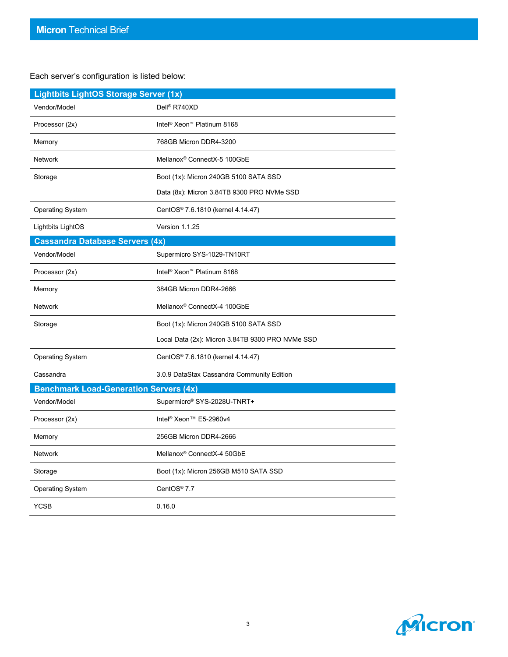#### Each server's configuration is listed below:

| <b>Lightbits LightOS Storage Server (1x)</b>  |                                                    |
|-----------------------------------------------|----------------------------------------------------|
| Vendor/Model                                  | Dell <sup>®</sup> R740XD                           |
| Processor (2x)                                | Intel <sup>®</sup> Xeon <sup>™</sup> Platinum 8168 |
| Memory                                        | 768GB Micron DDR4-3200                             |
| <b>Network</b>                                | Mellanox <sup>®</sup> ConnectX-5 100GbE            |
| Storage                                       | Boot (1x): Micron 240GB 5100 SATA SSD              |
|                                               | Data (8x): Micron 3.84TB 9300 PRO NVMe SSD         |
| <b>Operating System</b>                       | CentOS <sup>®</sup> 7.6.1810 (kernel 4.14.47)      |
| Lightbits LightOS                             | Version 1.1.25                                     |
| <b>Cassandra Database Servers (4x)</b>        |                                                    |
| Vendor/Model                                  | Supermicro SYS-1029-TN10RT                         |
| Processor (2x)                                | Intel <sup>®</sup> Xeon <sup>™</sup> Platinum 8168 |
| Memory                                        | 384GB Micron DDR4-2666                             |
| <b>Network</b>                                | Mellanox <sup>®</sup> ConnectX-4 100GbE            |
| Storage                                       | Boot (1x): Micron 240GB 5100 SATA SSD              |
|                                               | Local Data (2x): Micron 3.84TB 9300 PRO NVMe SSD   |
| <b>Operating System</b>                       | CentOS® 7.6.1810 (kernel 4.14.47)                  |
| Cassandra                                     | 3.0.9 DataStax Cassandra Community Edition         |
| <b>Benchmark Load-Generation Servers (4x)</b> |                                                    |
| Vendor/Model                                  | Supermicro® SYS-2028U-TNRT+                        |
| Processor (2x)                                | Intel <sup>®</sup> Xeon™ E5-2960v4                 |
| Memory                                        | 256GB Micron DDR4-2666                             |
| <b>Network</b>                                | Mellanox <sup>®</sup> ConnectX-4 50GbE             |
| Storage                                       | Boot (1x): Micron 256GB M510 SATA SSD              |
| <b>Operating System</b>                       | CentOS <sup>®</sup> 7.7                            |
| <b>YCSB</b>                                   | 0.16.0                                             |

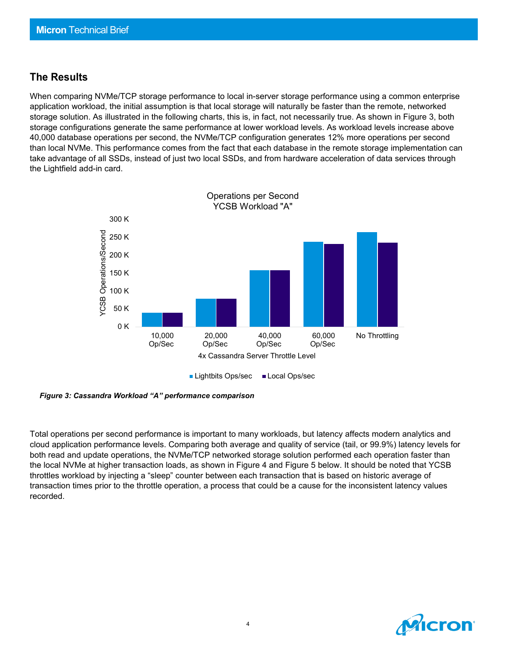#### **The Results**

When comparing NVMe/TCP storage performance to local in-server storage performance using a common enterprise application workload, the initial assumption is that local storage will naturally be faster than the remote, networked storage solution. As illustrated in the following charts, this is, in fact, not necessarily true. As shown in Figure 3, both storage configurations generate the same performance at lower workload levels. As workload levels increase above 40,000 database operations per second, the NVMe/TCP configuration generates 12% more operations per second than local NVMe. This performance comes from the fact that each database in the remote storage implementation can take advantage of all SSDs, instead of just two local SSDs, and from hardware acceleration of data services through the Lightfield add-in card.



*Figure 3: Cassandra Workload "A" performance comparison*

Total operations per second performance is important to many workloads, but latency affects modern analytics and cloud application performance levels. Comparing both average and quality of service (tail, or 99.9%) latency levels for both read and update operations, the NVMe/TCP networked storage solution performed each operation faster than the local NVMe at higher transaction loads, as shown in Figure 4 and Figure 5 below. It should be noted that YCSB throttles workload by injecting a "sleep" counter between each transaction that is based on historic average of transaction times prior to the throttle operation, a process that could be a cause for the inconsistent latency values recorded.

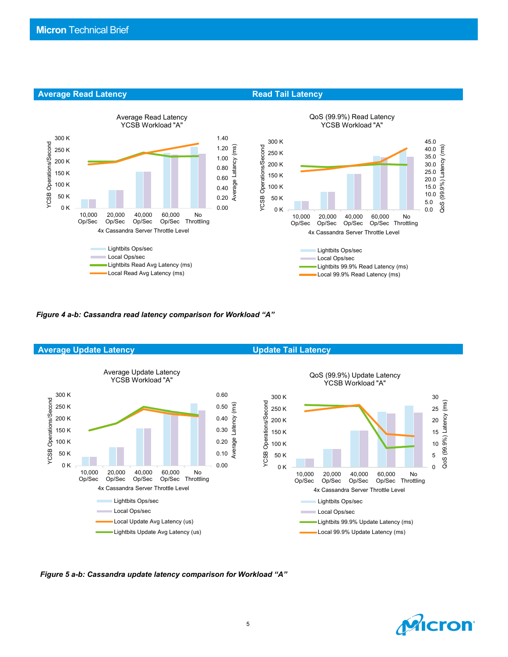

**Average Read Latency <b>Read Tail Latency Read Tail Latency** 

*Figure 4 a-b: Cassandra read latency comparison for Workload "A"*



*Figure 5 a-b: Cassandra update latency comparison for Workload "A"*

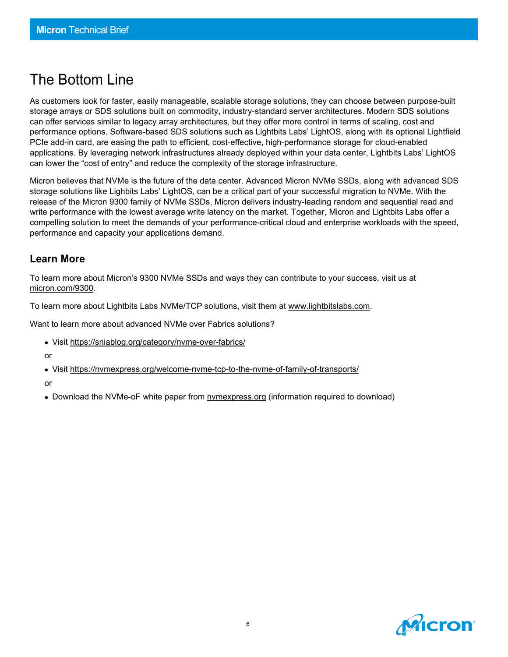## The Bottom Line

As customers look for faster, easily manageable, scalable storage solutions, they can choose between purpose-built storage arrays or SDS solutions built on commodity, industry-standard server architectures. Modern SDS solutions can offer services similar to legacy array architectures, but they offer more control in terms of scaling, cost and performance options. Software-based SDS solutions such as Lightbits Labs' LightOS, along with its optional Lightfield PCIe add-in card, are easing the path to efficient, cost-effective, high-performance storage for cloud-enabled applications. By leveraging network infrastructures already deployed within your data center, Lightbits Labs' LightOS can lower the "cost of entry" and reduce the complexity of the storage infrastructure.

Micron believes that NVMe is the future of the data center. Advanced Micron NVMe SSDs, along with advanced SDS storage solutions like Lighbits Labs' LightOS, can be a critical part of your successful migration to NVMe. With the release of the Micron 9300 family of NVMe SSDs, Micron delivers industry-leading random and sequential read and write performance with the lowest average write latency on the market. Together, Micron and Lightbits Labs offer a compelling solution to meet the demands of your performance-critical cloud and enterprise workloads with the speed, performance and capacity your applications demand.

#### **Learn More**

To learn more about Micron's 9300 NVMe SSDs and ways they can contribute to your success, visit us at [micron.com/9300.](https://www.micron.com/products/solid-state-drives/product-lines/9200)

To learn more about Lightbits Labs NVMe/TCP solutions, visit them at [www.lightbitslabs.com.](http://www.lightbitslabs.com/)

Want to learn more about advanced NVMe over Fabrics solutions?

- Visit<https://sniablog.org/category/nvme-over-fabrics/>
- or
- Visit<https://nvmexpress.org/welcome-nvme-tcp-to-the-nvme-of-family-of-transports/>

or

• Download the NVMe-oF white paper from [nvmexpress.org](https://app.e2ma.net/app2/audience/signup/1843381/1788830/) (information required to download)